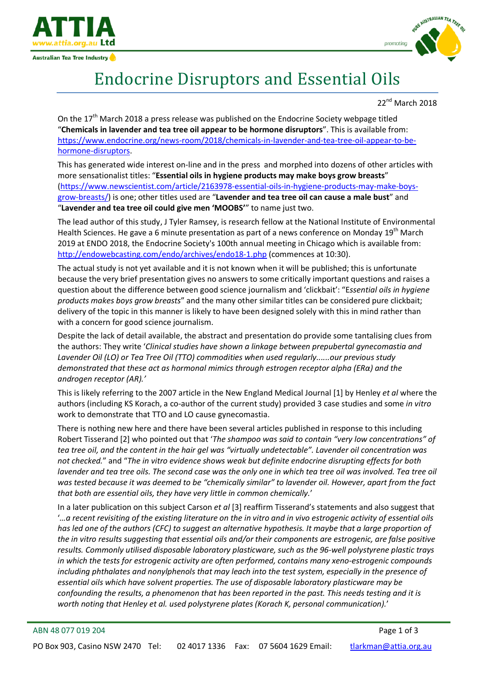

Australian Tea Tree Industry



## Endocrine Disruptors and Essential Oils

22nd March 2018

On the  $17<sup>th</sup>$  March 2018 a press release was published on the Endocrine Society webpage titled "**Chemicals in lavender and tea tree oil appear to be hormone disruptors**". This is available from: [https://www.endocrine.org/news-room/2018/chemicals-in-lavender-and-tea-tree-oil-appear-to-be](https://www.endocrine.org/news-room/2018/chemicals-in-lavender-and-tea-tree-oil-appear-to-be-hormone-disruptors)[hormone-disruptors.](https://www.endocrine.org/news-room/2018/chemicals-in-lavender-and-tea-tree-oil-appear-to-be-hormone-disruptors)

This has generated wide interest on-line and in the press and morphed into dozens of other articles with more sensationalist titles: "**Essential oils in hygiene products may make boys grow breasts**" [\(https://www.newscientist.com/article/2163978-essential-oils-in-hygiene-products-may-make-boys](https://www.newscientist.com/article/2163978-essential-oils-in-hygiene-products-may-make-boys-grow-breasts/)[grow-breasts/\)](https://www.newscientist.com/article/2163978-essential-oils-in-hygiene-products-may-make-boys-grow-breasts/) is one; other titles used are "**Lavender and tea tree oil can cause a male bust**" and "**Lavender and tea tree oil could give men 'MOOBS'**" to name just two.

The lead author of this study, J Tyler Ramsey, is research fellow at the National Institute of Environmental Health Sciences. He gave a 6 minute presentation as part of a news conference on Monday 19<sup>th</sup> March 2019 at ENDO 2018, the Endocrine Society's 100th annual meeting in Chicago which is available from: <http://endowebcasting.com/endo/archives/endo18-1.php> (commences at 10:30).

The actual study is not yet available and it is not known when it will be published; this is unfortunate because the very brief presentation gives no answers to some critically important questions and raises a question about the difference between good science journalism and 'clickbait': "E*ssential oils in hygiene products makes boys grow breasts*" and the many other similar titles can be considered pure clickbait; delivery of the topic in this manner is likely to have been designed solely with this in mind rather than with a concern for good science journalism.

Despite the lack of detail available, the abstract and presentation do provide some tantalising clues from the authors: They write '*Clinical studies have shown a linkage between prepubertal gynecomastia and Lavender Oil (LO) or Tea Tree Oil (TTO) commodities when used regularly......our previous study demonstrated that these act as hormonal mimics through estrogen receptor alpha (ERα) and the androgen receptor (AR).'*

This is likely referring to the 2007 article in the New England Medical Journal [\[1\]](#page-2-0) by Henley *et al* where the authors (including KS Korach, a co-author of the current study) provided 3 case studies and some *in vitro* work to demonstrate that TTO and LO cause gynecomastia.

There is nothing new here and there have been several articles published in response to this including Robert Tisserand [\[2\]](#page-2-1) who pointed out that '*The shampoo was said to contain "very low concentrations" of tea tree oil, and the content in the hair gel was "virtually undetectable". Lavender oil concentration was not checked.*" and "*The in vitro evidence shows weak but definite endocrine disrupting effects for both lavender and tea tree oils. The second case was the only one in which tea tree oil was involved. Tea tree oil was tested because it was deemed to be "chemically similar" to lavender oil. However, apart from the fact that both are essential oils, they have very little in common chemically.*'

In a later publication on this subject Carson *et al* [\[3\]](#page-2-2) reaffirm Tisserand's statements and also suggest that '*…a recent revisiting of the existing literature on the in vitro and in vivo estrogenic activity of essential oils has led one of the authors (CFC) to suggest an alternative hypothesis. It maybe that a large proportion of the in vitro results suggesting that essential oils and/or their components are estrogenic, are false positive results. Commonly utilised disposable laboratory plasticware, such as the 96-well polystyrene plastic trays in which the tests for estrogenic activity are often performed, contains many xeno-estrogenic compounds including phthalates and nonylphenols that may leach into the test system, especially in the presence of essential oils which have solvent properties. The use of disposable laboratory plasticware may be confounding the results, a phenomenon that has been reported in the past. This needs testing and it is worth noting that Henley et al. used polystyrene plates (Korach K, personal communication).*'

## ABN 48 077 019 204 Page 1 of 3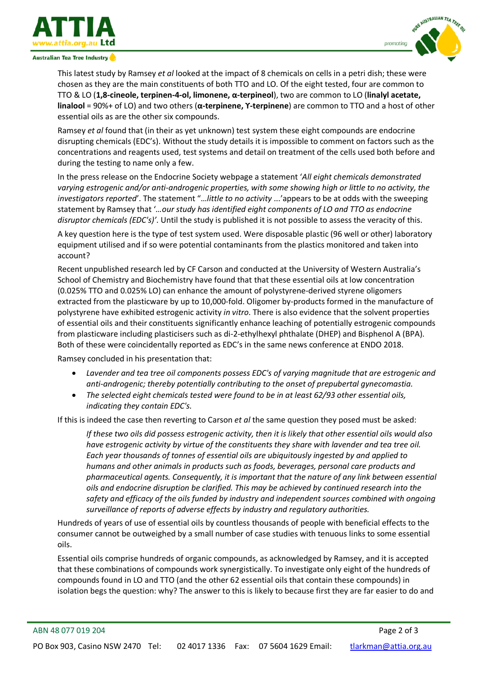

Australian Tea Tree Industry



This latest study by Ramsey *et al* looked at the impact of 8 chemicals on cells in a petri dish; these were chosen as they are the main constituents of both TTO and LO. Of the eight tested, four are common to TTO & LO (**1,8-cineole, terpinen-4-ol, limonene, α-terpineol**), two are common to LO (**linalyl acetate, linalool** = 90%+ of LO) and two others (**α-terpinene, ϒ-terpinene**) are common to TTO and a host of other essential oils as are the other six compounds.

Ramsey *et al* found that (in their as yet unknown) test system these eight compounds are endocrine disrupting chemicals (EDC's). Without the study details it is impossible to comment on factors such as the concentrations and reagents used, test systems and detail on treatment of the cells used both before and during the testing to name only a few.

In the press release on the Endocrine Society webpage a statement '*All eight chemicals demonstrated varying estrogenic and/or anti-androgenic properties, with some showing high or little to no activity, the investigators reported*'. The statement "…*little to no activity* ...'appears to be at odds with the sweeping statement by Ramsey that '*…our study has identified eight components of LO and TTO as endocrine disruptor chemicals (EDC's)'*. Until the study is published it is not possible to assess the veracity of this.

A key question here is the type of test system used. Were disposable plastic (96 well or other) laboratory equipment utilised and if so were potential contaminants from the plastics monitored and taken into account?

Recent unpublished research led by CF Carson and conducted at the University of Western Australia's School of Chemistry and Biochemistry have found that that these essential oils at low concentration (0.025% TTO and 0.025% LO) can enhance the amount of polystyrene-derived styrene oligomers extracted from the plasticware by up to 10,000-fold. Oligomer by-products formed in the manufacture of polystyrene have exhibited estrogenic activity *in vitro*. There is also evidence that the solvent properties of essential oils and their constituents significantly enhance leaching of potentially estrogenic compounds from plasticware including plasticisers such as di-2-ethylhexyl phthalate (DHEP) and Bisphenol A (BPA). Both of these were coincidentally reported as EDC's in the same news conference at ENDO 2018.

Ramsey concluded in his presentation that:

- *Lavender and tea tree oil components possess EDC's of varying magnitude that are estrogenic and anti-androgenic; thereby potentially contributing to the onset of prepubertal gynecomastia.*
- *The selected eight chemicals tested were found to be in at least 62/93 other essential oils, indicating they contain EDC's.*

If this is indeed the case then reverting to Carson *et al* the same question they posed must be asked:

*If these two oils did possess estrogenic activity, then it is likely that other essential oils would also have estrogenic activity by virtue of the constituents they share with lavender and tea tree oil. Each year thousands of tonnes of essential oils are ubiquitously ingested by and applied to humans and other animals in products such as foods, beverages, personal care products and pharmaceutical agents. Consequently, it is important that the nature of any link between essential oils and endocrine disruption be clarified. This may be achieved by continued research into the safety and efficacy of the oils funded by industry and independent sources combined with ongoing surveillance of reports of adverse effects by industry and regulatory authorities.*

Hundreds of years of use of essential oils by countless thousands of people with beneficial effects to the consumer cannot be outweighed by a small number of case studies with tenuous links to some essential oils.

Essential oils comprise hundreds of organic compounds, as acknowledged by Ramsey, and it is accepted that these combinations of compounds work synergistically. To investigate only eight of the hundreds of compounds found in LO and TTO (and the other 62 essential oils that contain these compounds) in isolation begs the question: why? The answer to this is likely to because first they are far easier to do and